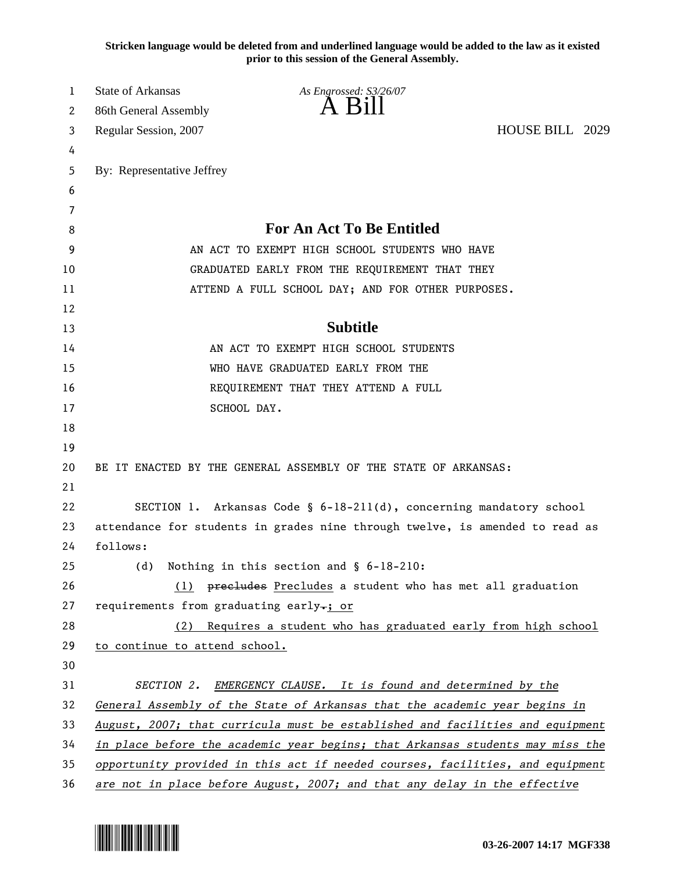**Stricken language would be deleted from and underlined language would be added to the law as it existed prior to this session of the General Assembly.**

| 1  | State of Arkansas                                                             | As Engrossed: S3/26/07                                                       |                 |  |
|----|-------------------------------------------------------------------------------|------------------------------------------------------------------------------|-----------------|--|
| 2  | 86th General Assembly                                                         | $A$ $B$ <sub>1</sub> $\overline{B}$                                          |                 |  |
| 3  | Regular Session, 2007                                                         |                                                                              | HOUSE BILL 2029 |  |
| 4  |                                                                               |                                                                              |                 |  |
| 5  | By: Representative Jeffrey                                                    |                                                                              |                 |  |
| 6  |                                                                               |                                                                              |                 |  |
| 7  |                                                                               |                                                                              |                 |  |
| 8  | <b>For An Act To Be Entitled</b>                                              |                                                                              |                 |  |
| 9  | AN ACT TO EXEMPT HIGH SCHOOL STUDENTS WHO HAVE                                |                                                                              |                 |  |
| 10 | GRADUATED EARLY FROM THE REQUIREMENT THAT THEY                                |                                                                              |                 |  |
| 11 | ATTEND A FULL SCHOOL DAY; AND FOR OTHER PURPOSES.                             |                                                                              |                 |  |
| 12 |                                                                               |                                                                              |                 |  |
| 13 |                                                                               | <b>Subtitle</b>                                                              |                 |  |
| 14 |                                                                               | AN ACT TO EXEMPT HIGH SCHOOL STUDENTS                                        |                 |  |
| 15 | WHO HAVE GRADUATED EARLY FROM THE                                             |                                                                              |                 |  |
| 16 |                                                                               | REQUIREMENT THAT THEY ATTEND A FULL                                          |                 |  |
| 17 |                                                                               | SCHOOL DAY.                                                                  |                 |  |
| 18 |                                                                               |                                                                              |                 |  |
| 19 |                                                                               |                                                                              |                 |  |
| 20 | BE IT ENACTED BY THE GENERAL ASSEMBLY OF THE STATE OF ARKANSAS:               |                                                                              |                 |  |
| 21 |                                                                               |                                                                              |                 |  |
| 22 |                                                                               | SECTION 1. Arkansas Code § 6-18-211(d), concerning mandatory school          |                 |  |
| 23 |                                                                               | attendance for students in grades nine through twelve, is amended to read as |                 |  |
| 24 | follows:                                                                      |                                                                              |                 |  |
| 25 | (d)                                                                           | Nothing in this section and $\S$ 6-18-210:                                   |                 |  |
| 26 |                                                                               | (1) precludes Precludes a student who has met all graduation                 |                 |  |
| 27 | requirements from graduating early-; or                                       |                                                                              |                 |  |
| 28 |                                                                               | (2) Requires a student who has graduated early from high school              |                 |  |
| 29 | to continue to attend school.                                                 |                                                                              |                 |  |
| 30 |                                                                               |                                                                              |                 |  |
| 31 | SECTION 2.                                                                    | EMERGENCY CLAUSE. It is found and determined by the                          |                 |  |
| 32 | General Assembly of the State of Arkansas that the academic year begins in    |                                                                              |                 |  |
| 33 | August, 2007; that curricula must be established and facilities and equipment |                                                                              |                 |  |
| 34 | in place before the academic year begins; that Arkansas students may miss the |                                                                              |                 |  |
| 35 | opportunity provided in this act if needed courses, facilities, and equipment |                                                                              |                 |  |
| 36 | are not in place before August, 2007; and that any delay in the effective     |                                                                              |                 |  |